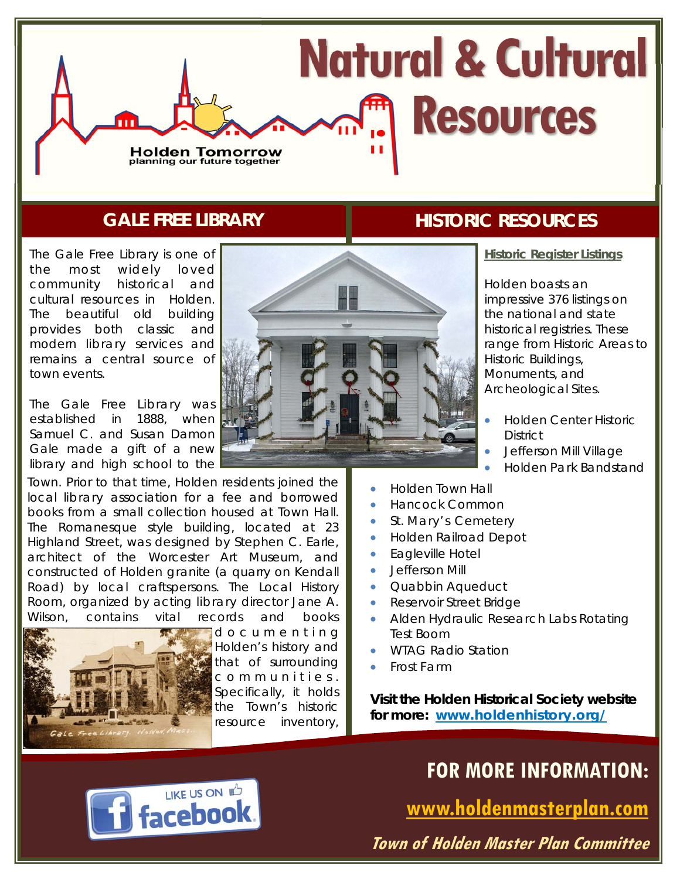# **Natural & Cultural Resources Holden Tomorrow**<br>planning our future together

### **GALE FREE LIBRARY**

The Gale Free Library is one of the most widely loved community historical and cultural resources in Holden. The beautiful old building provides both classic and modern library services and remains a central source of town events.

The Gale Free Library was established in 1888, when Samuel C. and Susan Damon Gale made a gift of a new library and high school to the

Town. Prior to that time, Holden residents joined the local library association for a fee and borrowed books from a small collection housed at Town Hall. The Romanesque style building, located at 23 Highland Street, was designed by Stephen C. Earle, architect of the Worcester Art Museum, and constructed of Holden granite (a quarry on Kendall Road) by local craftspersons. The Local History Room, organized by acting library director Jane A. Wilson, contains vital records and books



d o c u m e n t i n g Holden's history and that of surrounding c o m m u n i t i e s . Specifically, it holds the Town's historic resource inventory,

## **HISTORIC RESOURCES**

**Historic Register Listings** 

Holden boasts an impressive 376 listings on the national and state historical registries. These range from Historic Areas to Historic Buildings, Monuments, and Archeological Sites.

- Holden Center Historic **District**
- Jefferson Mill Village
- Holden Park Bandstand
- Holden Town Hall
- Hancock Common
- St. Mary's Cemetery
- Holden Railroad Depot
- **Eagleville Hotel**
- **•** Jefferson Mill
- Quabbin Aqueduct
- **Reservoir Street Bridge**
- Alden Hydraulic Research Labs Rotating Test Boom
- WTAG Radio Station
- Frost Farm

*Visit the Holden Historical Society website for more:* **www.holdenhistory.org/**



**www.holdenmasterplan.com** 

**Town of Holden Master Plan Committee**